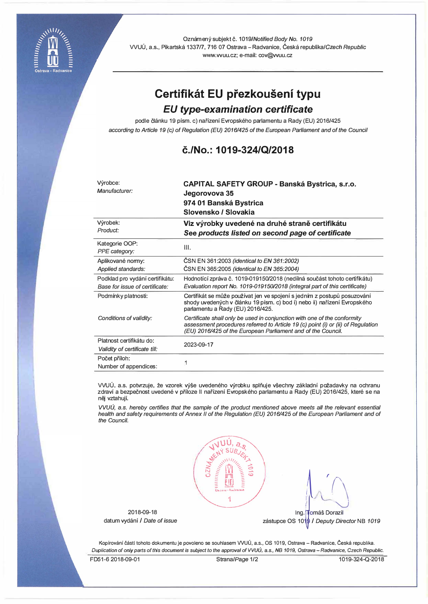

Oznámený subjekt č. 1019/Notified Body No. 1019 WUU, a.s., Pikartska 1337/7, 716 07 Ostrava - Radvanice, Ceska republika/Czech *Republic*  www.vvuu.cz; e-mail: cov@vvuu.cz

# **Certifikat EU prezkouseni typu**

# *EU type-examination certificate*

podle článku 19 písm. c) nařízení Evropského parlamentu a Rady (EU) 2016/425 *according to Article 19 (c) of Regulation (EU) 2016/425 of the European Parliament and of the Council* 

# **c./No.: 1019-324/Q/2018**

| Výrobce:<br>Manufacturer:                                         | <b>CAPITAL SAFETY GROUP - Banská Bystrica, s.r.o.</b><br>Jegorovova 35<br>974 01 Banská Bystrica<br>Slovensko / Slovakia                                                                                                     |
|-------------------------------------------------------------------|------------------------------------------------------------------------------------------------------------------------------------------------------------------------------------------------------------------------------|
| Výrobek:                                                          | Viz výrobky uvedené na druhé straně certifikátu                                                                                                                                                                              |
| Product:                                                          | See products listed on second page of certificate                                                                                                                                                                            |
| Kategorie OOP:<br>PPE category:                                   | III.                                                                                                                                                                                                                         |
| Aplikované normy:                                                 | CSN EN 361:2003 (identical to EN 361:2002)                                                                                                                                                                                   |
| Applied standards:                                                | ČSN EN 365:2005 (identical to EN 365:2004)                                                                                                                                                                                   |
| Podklad pro vydání certifikátu:<br>Base for issue of certificate: | Hodnotící zpráva č. 1019-019150/2018 (nedílná součást tohoto certifikátu)<br>Evaluation report No. 1019-019150/2018 (integral part of this certificate)                                                                      |
| Podmínky platnosti:                                               | Certifikát se může používat jen ve spojení s jedním z postupů posuzování<br>shody uvedených v článku 19 písm. c) bod i) nebo ii) nařízení Evropského<br>parlamentu a Rady (EU) 2016/425.                                     |
| Conditions of validity:                                           | Certificate shall only be used in conjunction with one of the conformity<br>assessment procedures referred to Article 19 (c) point (i) or (ii) of Regulation<br>(EU) 2016/425 of the European Parliament and of the Council. |
| Platnost certifikátu do:<br>Validity of certificate till:         | 2023-09-17                                                                                                                                                                                                                   |
| Počet příloh:<br>Number of appendices:                            |                                                                                                                                                                                                                              |

VVUÚ, a.s. potvrzuje, že vzorek výše uvedeného výrobku splňuje všechny základní požadavky na ochranu zdraví a bezpečnost uvedené v příloze II nařízení Evropského parlamentu a Rady (EU) 2016/425, které se na něj vztahují.

*VVUU,* a.s. *hereby certifies that the sample of the product mentioned above meets all the relevant essential*  health and safety requirements of Annex II of the Regulation (EU) 2016/425 of the European Parliament and of *the Council.* 



Ing. Tomáš Dorazil

zastupce OS 10� / *Deputy Director* NB *1019* 

Kopírování částí tohoto dokumentu je povoleno se souhlasem VVUÚ, a.s., OS 1019, Ostrava - Radvanice, Česká republika. *Duplication of only parts of this document* **is** *subject to the approval of VVUU,* **a.s.,** *NB 1019, Ostrava -Radvanice, Czech Republic.* 

2018-09-18 datum vydani / *Date of issue*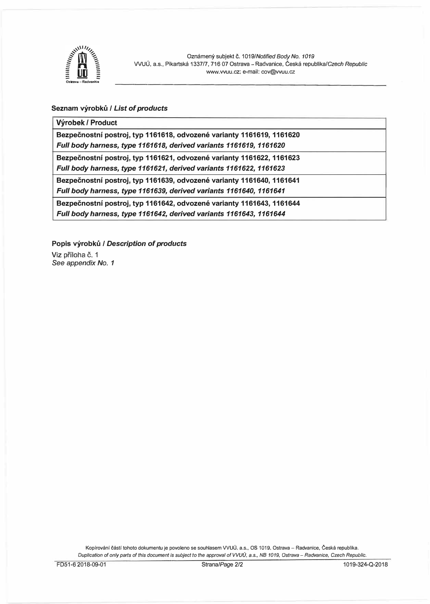

#### **Seznam vyrobku /** *List of products*

#### **Vyrobek / Product**

**Bezpecnostni postroj, typ 1161618, odvozene varianty 1161619, 1161620**  *Full body harness, type 1161618, derived variants 1161619, 1161620* 

Bezpečnostní postroj, typ 1161621, odvozené varianty 1161622, 1161623 *Full body harness, type 1161621, derived variants 1161622, 1161623* 

Bezpečnostní postroj, typ 1161639, odvozené varianty 1161640, 1161641

*Full body harness, type 1161639, derived variants 1161640, 1161641* 

Bezpečnostní postroj, typ 1161642, odvozené varianty 1161643, 1161644 *Full body harness, type 1161642, derived variants 1161643, 1161644* 

**Popis vyrobku /** *Description of products* 

Viz příloha č. 1 *See appendix No. 1* 

> Kopírování částí tohoto dokumentu je povoleno se souhlasem VVUÚ, a.s., OS 1019, Ostrava - Radvanice, Česká republika. *Duplication of only parts of this document* is *subject to the approval of VVUG,* a.s., *NB 1019, Ostrava - Radvanice, Czech Republic.*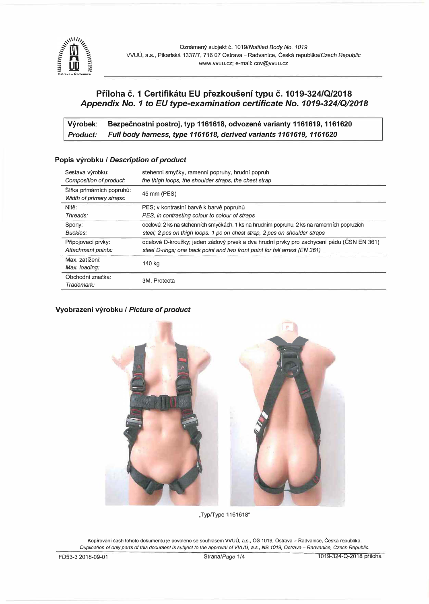

# **Priloha c. 1 Certifikatu EU prezkouseni typu c. 1019-324/Q/2018**  *Appendix No. 1 to EU type-examination certificate No. 1019-324/Q/2018*

Výrobek: Bezpečnostní postroj, typ 1161618, odvozené varianty 1161619, 1161620 *Product: Full body harness, type 1161618, derived variants 1161619, 1161620* 

| Sestava výrobku:<br>Composition of product:           | stehenni smyčky, ramenní popruhy, hrudní popruh<br>the thigh loops, the shoulder straps, the chest strap                                                                 |
|-------------------------------------------------------|--------------------------------------------------------------------------------------------------------------------------------------------------------------------------|
| Šířka primárních popruhů:<br>Width of primary straps: | 45 mm (PES)                                                                                                                                                              |
| Nitě:                                                 | PES; v kontrastní barvě k barvě popruhů                                                                                                                                  |
| Threads:                                              | PES, in contrasting colour to colour of straps                                                                                                                           |
| Spony:<br>Buckles:                                    | ocelové; 2 ks na stehenních smyčkách, 1 ks na hrudním popruhu, 2 ks na ramenních popruzích<br>steel; 2 pcs on thigh loops, 1 pc on chest strap, 2 pcs on shoulder straps |
| Připojovací prvky:<br>Attachment points:              | ocelové D-kroužky; jeden zádový prvek a dva hrudní prvky pro zachycení pádu (ČSN EN 361)<br>steel D-rings; one back point and two front point for fall arrest (EN 361)   |
| Max. zatížení:<br>Max. loading:                       | 140 kg                                                                                                                                                                   |
| Obchodní značka:<br>Trademark:                        | 3M, Protecta                                                                                                                                                             |

## **Popis vyrobku /** *Description of product*

#### **Vyobrazeni vyrobku /** *Picture of product*



"Typ/Type 1161618"

Kopírování části tohoto dokumentu je povoleno se souhlasem VVUÚ, a.s., OS 1019, Ostrava - Radvanice, Česká republika. *Duplication of only parts of this document is subject to the approval of VVUU,* a.s., *NB 1019, Ostrava - Radvanice, Czech Republic.*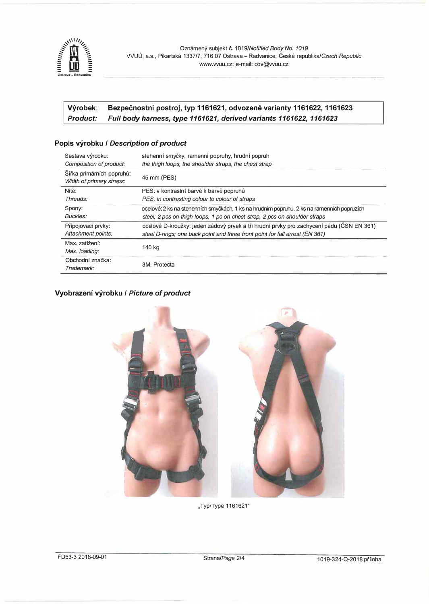

## Výrobek: Bezpečnostní postroj, typ 1161621, odvozené varianty 1161622, 1161623 *Product: Full body harness, type 1161621, derived variants 1161622, 1161623*

## **Popis vyrobku /** *Description of product*

| Sestava výrobku:<br>Composition of product:           | stehenní smyčky, ramenní popruhy, hrudní popruh<br>the thigh loops, the shoulder straps, the chest strap |
|-------------------------------------------------------|----------------------------------------------------------------------------------------------------------|
| Šířka primárních popruhů:<br>Width of primary straps: | 45 mm (PES)                                                                                              |
| Nitě:                                                 | PES; v kontrastní barvě k barvě popruhů                                                                  |
| Threads:                                              | PES, in contrasting colour to colour of straps                                                           |
| Spony:                                                | ocelové; 2 ks na stehenních smyčkách, 1 ks na hrudním popruhu, 2 ks na ramenních popruzích               |
| Buckles:                                              | steel; 2 pcs on thigh loops, 1 pc on chest strap, 2 pcs on shoulder straps                               |
| Připojovací prvky:                                    | ocelové D-kroužky; jeden zádový prvek a tři hrudní prvky pro zachycení pádu (ČSN EN 361)                 |
| Attachment points:                                    | steel D-rings; one back point and three front point for fall arrest (EN 361)                             |
| Max. zatížení:                                        |                                                                                                          |
| Max. loading:                                         | 140 kg                                                                                                   |
| Obchodní značka:                                      |                                                                                                          |
| Trademark:                                            | 3M. Protecta                                                                                             |

## **Vyobrazeni vyrobku /** *Picture of product*



,,TypfType 1161621"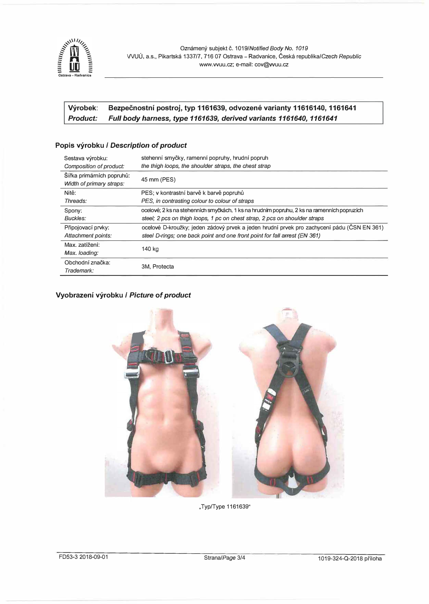

# Výrobek: Bezpečnostní postroj, typ 1161639, odvozené varianty 11616140, 1161641 *Product: Full body harness, type 1161639, derived variants 1161640, 1161641*

### **Popis vyrobku /** *Description* **of** *product*

| Sestava výrobku:          | stehenní smyčky, ramenní popruhy, hrudní popruh                                            |
|---------------------------|--------------------------------------------------------------------------------------------|
| Composition of product:   | the thigh loops, the shoulder straps, the chest strap                                      |
| Šířka primárních popruhů: | 45 mm (PES)                                                                                |
| Width of primary straps:  |                                                                                            |
| Nitě:                     | PES; v kontrastní barvě k barvě popruhů                                                    |
| Threads:                  | PES, in contrasting colour to colour of straps                                             |
| Spony:                    | ocelové; 2 ks na stehenních smyčkách, 1 ks na hrudním popruhu, 2 ks na ramenních popruzích |
| Buckles:                  | steel; 2 pcs on thigh loops, 1 pc on chest strap, 2 pcs on shoulder straps                 |
| Připojovací prvky:        | ocelové D-kroužky; jeden zádový prvek a jeden hrudní prvek pro zachycení pádu (ČSN EN 361) |
| Attachment points:        | steel D-rings; one back point and one front point for fall arrest (EN 361)                 |
| Max. zatížení:            | 140 kg                                                                                     |
| Max. loading:             |                                                                                            |
| Obchodní značka:          |                                                                                            |
| Trademark:                | 3M. Protecta                                                                               |

# **Vyobrazeni vyrobku /** *Picture* **of** *product*



.,Typ/Type 1161639"